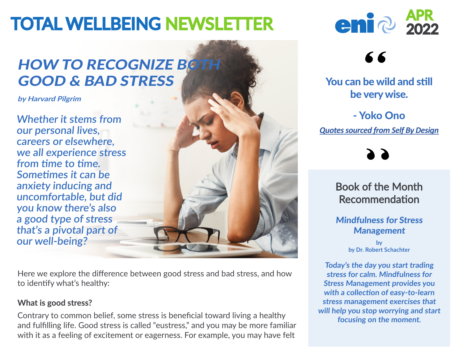# **TOTAL WELLBEING NEWSLETTER**

## **HOW TO RECOGNIZE BOTH** GOOD & BAD STRESS

**by Harvard Pilgrim**

**Whether it stems from our personal lives, careers or elsewhere, we all experience stress from time to time. Sometimes it can be anxiety inducing and uncomfortable, but did you know there's also a good type of stress that's a pivotal part of our well-being?**

Here we explore the difference between good stress and bad stress, and how to identify what's healthy:

#### **What is good stress?**

Contrary to common belief, some stress is beneficial toward living a healthy and fulfilling life. Good stress is called "eustress," and you may be more familiar with it as a feeling of excitement or eagerness. For example, you may have felt



### 66

You can be wild and still be very wise.

- Yoko Ono *Quotes sourced from Self By Design*

Book of the Month Recommendation

Mindfulness for Stress Management

> **by by Dr. Robert Schachter**

**Today's the day you start trading stress for calm. Mindfulness for Stress Management provides you with a collection of easy-to-learn stress management exercises that will help you stop worrying and start focusing on the moment.**